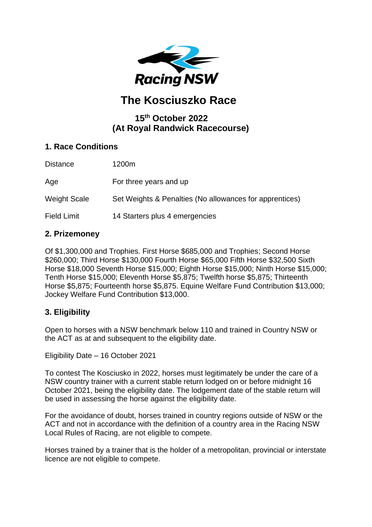

# **The Kosciuszko Race**

# **15 th October 2022 (At Royal Randwick Racecourse)**

# **1. Race Conditions**

| <b>Distance</b>     | 1200m                                                   |
|---------------------|---------------------------------------------------------|
| Age                 | For three years and up                                  |
| <b>Weight Scale</b> | Set Weights & Penalties (No allowances for apprentices) |
| <b>Field Limit</b>  | 14 Starters plus 4 emergencies                          |

# **2. Prizemoney**

Of \$1,300,000 and Trophies. First Horse \$685,000 and Trophies; Second Horse \$260,000; Third Horse \$130,000 Fourth Horse \$65,000 Fifth Horse \$32,500 Sixth Horse \$18,000 Seventh Horse \$15,000; Eighth Horse \$15,000; Ninth Horse \$15,000; Tenth Horse \$15,000; Eleventh Horse \$5,875; Twelfth horse \$5,875; Thirteenth Horse \$5,875; Fourteenth horse \$5,875. Equine Welfare Fund Contribution \$13,000; Jockey Welfare Fund Contribution \$13,000.

# **3. Eligibility**

Open to horses with a NSW benchmark below 110 and trained in Country NSW or the ACT as at and subsequent to the eligibility date.

Eligibility Date – 16 October 2021

To contest The Kosciusko in 2022, horses must legitimately be under the care of a NSW country trainer with a current stable return lodged on or before midnight 16 October 2021, being the eligibility date. The lodgement date of the stable return will be used in assessing the horse against the eligibility date.

For the avoidance of doubt, horses trained in country regions outside of NSW or the ACT and not in accordance with the definition of a country area in the Racing NSW Local Rules of Racing, are not eligible to compete.

Horses trained by a trainer that is the holder of a metropolitan, provincial or interstate licence are not eligible to compete.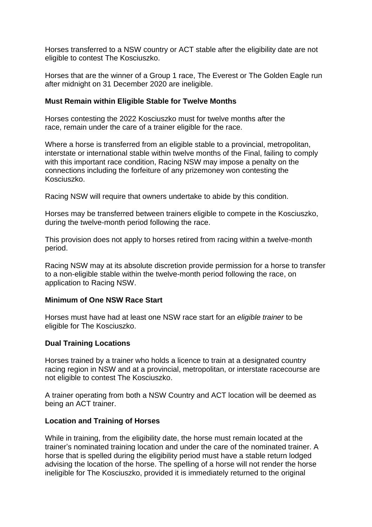Horses transferred to a NSW country or ACT stable after the eligibility date are not eligible to contest The Kosciuszko.

Horses that are the winner of a Group 1 race, The Everest or The Golden Eagle run after midnight on 31 December 2020 are ineligible.

#### **Must Remain within Eligible Stable for Twelve Months**

Horses contesting the 2022 Kosciuszko must for twelve months after the race, remain under the care of a trainer eligible for the race.

Where a horse is transferred from an eligible stable to a provincial, metropolitan, interstate or international stable within twelve months of the Final, failing to comply with this important race condition, Racing NSW may impose a penalty on the connections including the forfeiture of any prizemoney won contesting the Kosciuszko.

Racing NSW will require that owners undertake to abide by this condition.

Horses may be transferred between trainers eligible to compete in the Kosciuszko, during the twelve-month period following the race.

This provision does not apply to horses retired from racing within a twelve-month period.

Racing NSW may at its absolute discretion provide permission for a horse to transfer to a non-eligible stable within the twelve-month period following the race, on application to Racing NSW.

#### **Minimum of One NSW Race Start**

Horses must have had at least one NSW race start for an *eligible trainer* to be eligible for The Kosciuszko.

#### **Dual Training Locations**

Horses trained by a trainer who holds a licence to train at a designated country racing region in NSW and at a provincial, metropolitan, or interstate racecourse are not eligible to contest The Kosciuszko.

A trainer operating from both a NSW Country and ACT location will be deemed as being an ACT trainer.

#### **Location and Training of Horses**

While in training, from the eligibility date, the horse must remain located at the trainer's nominated training location and under the care of the nominated trainer. A horse that is spelled during the eligibility period must have a stable return lodged advising the location of the horse. The spelling of a horse will not render the horse ineligible for The Kosciuszko, provided it is immediately returned to the original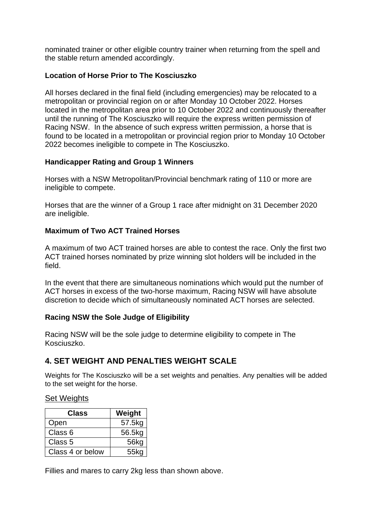nominated trainer or other eligible country trainer when returning from the spell and the stable return amended accordingly.

#### **Location of Horse Prior to The Kosciuszko**

All horses declared in the final field (including emergencies) may be relocated to a metropolitan or provincial region on or after Monday 10 October 2022. Horses located in the metropolitan area prior to 10 October 2022 and continuously thereafter until the running of The Kosciuszko will require the express written permission of Racing NSW. In the absence of such express written permission, a horse that is found to be located in a metropolitan or provincial region prior to Monday 10 October 2022 becomes ineligible to compete in The Kosciuszko.

### **Handicapper Rating and Group 1 Winners**

Horses with a NSW Metropolitan/Provincial benchmark rating of 110 or more are ineligible to compete.

Horses that are the winner of a Group 1 race after midnight on 31 December 2020 are ineligible.

#### **Maximum of Two ACT Trained Horses**

A maximum of two ACT trained horses are able to contest the race. Only the first two ACT trained horses nominated by prize winning slot holders will be included in the field.

In the event that there are simultaneous nominations which would put the number of ACT horses in excess of the two-horse maximum, Racing NSW will have absolute discretion to decide which of simultaneously nominated ACT horses are selected.

#### **Racing NSW the Sole Judge of Eligibility**

Racing NSW will be the sole judge to determine eligibility to compete in The Kosciuszko.

# **4. SET WEIGHT AND PENALTIES WEIGHT SCALE**

Weights for The Kosciuszko will be a set weights and penalties. Any penalties will be added to the set weight for the horse.

#### Set Weights

| Class            | Weight |  |  |
|------------------|--------|--|--|
| Open             | 57.5kg |  |  |
| Class 6          | 56.5kg |  |  |
| Class 5          | 56kg   |  |  |
| Class 4 or below | 55kg   |  |  |

Fillies and mares to carry 2kg less than shown above.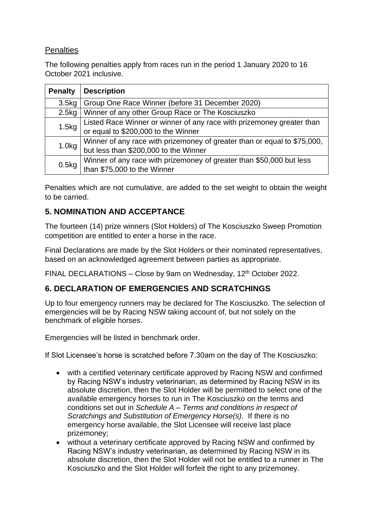# **Penalties**

The following penalties apply from races run in the period 1 January 2020 to 16 October 2021 inclusive.

| <b>Penalty</b>    | <b>Description</b>                                                       |  |  |
|-------------------|--------------------------------------------------------------------------|--|--|
| 3.5 <sub>kg</sub> | Group One Race Winner (before 31 December 2020)                          |  |  |
| 2.5kg             | Winner of any other Group Race or The Kosciuszko                         |  |  |
| 1.5kg             | Listed Race Winner or winner of any race with prizemoney greater than    |  |  |
|                   | or equal to \$200,000 to the Winner                                      |  |  |
| 1.0 <sub>kg</sub> | Winner of any race with prizemoney of greater than or equal to \$75,000, |  |  |
|                   | but less than \$200,000 to the Winner                                    |  |  |
| 0.5kg             | Winner of any race with prizemoney of greater than \$50,000 but less     |  |  |
|                   | than \$75,000 to the Winner                                              |  |  |

Penalties which are not cumulative, are added to the set weight to obtain the weight to be carried.

# **5. NOMINATION AND ACCEPTANCE**

The fourteen (14) prize winners (Slot Holders) of The Kosciuszko Sweep Promotion competition are entitled to enter a horse in the race.

Final Declarations are made by the Slot Holders or their nominated representatives, based on an acknowledged agreement between parties as appropriate.

FINAL DECLARATIONS - Close by 9am on Wednesday, 12<sup>th</sup> October 2022.

# **6. DECLARATION OF EMERGENCIES AND SCRATCHINGS**

Up to four emergency runners may be declared for The Kosciuszko. The selection of emergencies will be by Racing NSW taking account of, but not solely on the benchmark of eligible horses.

Emergencies will be listed in benchmark order.

If Slot Licensee's horse is scratched before 7.30am on the day of The Kosciuszko:

- with a certified veterinary certificate approved by Racing NSW and confirmed by Racing NSW's industry veterinarian, as determined by Racing NSW in its absolute discretion, then the Slot Holder will be permitted to select one of the available emergency horses to run in The Kosciuszko on the terms and conditions set out in *Schedule A – Terms and conditions in respect of Scratchings and Substitution of Emergency Horse(s)*. If there is no emergency horse available, the Slot Licensee will receive last place prizemoney;
- without a veterinary certificate approved by Racing NSW and confirmed by Racing NSW's industry veterinarian, as determined by Racing NSW in its absolute discretion, then the Slot Holder will not be entitled to a runner in The Kosciuszko and the Slot Holder will forfeit the right to any prizemoney.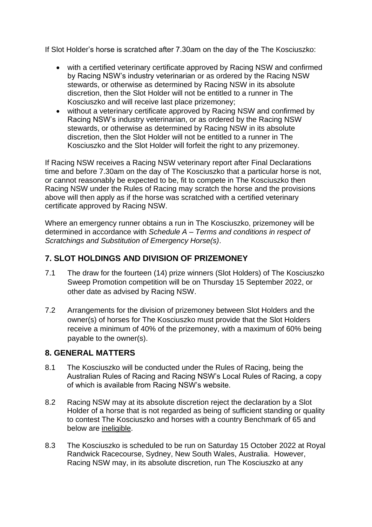If Slot Holder's horse is scratched after 7.30am on the day of the The Kosciuszko:

- with a certified veterinary certificate approved by Racing NSW and confirmed by Racing NSW's industry veterinarian or as ordered by the Racing NSW stewards, or otherwise as determined by Racing NSW in its absolute discretion, then the Slot Holder will not be entitled to a runner in The Kosciuszko and will receive last place prizemoney;
- without a veterinary certificate approved by Racing NSW and confirmed by Racing NSW's industry veterinarian, or as ordered by the Racing NSW stewards, or otherwise as determined by Racing NSW in its absolute discretion, then the Slot Holder will not be entitled to a runner in The Kosciuszko and the Slot Holder will forfeit the right to any prizemoney.

If Racing NSW receives a Racing NSW veterinary report after Final Declarations time and before 7.30am on the day of The Kosciuszko that a particular horse is not, or cannot reasonably be expected to be, fit to compete in The Kosciuszko then Racing NSW under the Rules of Racing may scratch the horse and the provisions above will then apply as if the horse was scratched with a certified veterinary certificate approved by Racing NSW.

Where an emergency runner obtains a run in The Kosciuszko, prizemoney will be determined in accordance with *Schedule A – Terms and conditions in respect of Scratchings and Substitution of Emergency Horse(s)*.

# **7. SLOT HOLDINGS AND DIVISION OF PRIZEMONEY**

- 7.1 The draw for the fourteen (14) prize winners (Slot Holders) of The Kosciuszko Sweep Promotion competition will be on Thursday 15 September 2022, or other date as advised by Racing NSW.
- 7.2 Arrangements for the division of prizemoney between Slot Holders and the owner(s) of horses for The Kosciuszko must provide that the Slot Holders receive a minimum of 40% of the prizemoney, with a maximum of 60% being payable to the owner(s).

# **8. GENERAL MATTERS**

- 8.1 The Kosciuszko will be conducted under the Rules of Racing, being the Australian Rules of Racing and Racing NSW's Local Rules of Racing, a copy of which is available from Racing NSW's website.
- 8.2 Racing NSW may at its absolute discretion reject the declaration by a Slot Holder of a horse that is not regarded as being of sufficient standing or quality to contest The Kosciuszko and horses with a country Benchmark of 65 and below are ineligible.
- 8.3 The Kosciuszko is scheduled to be run on Saturday 15 October 2022 at Royal Randwick Racecourse, Sydney, New South Wales, Australia. However, Racing NSW may, in its absolute discretion, run The Kosciuszko at any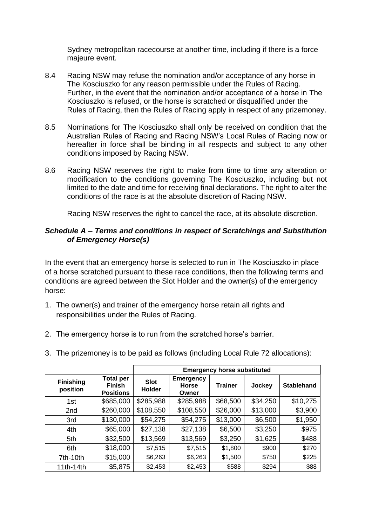Sydney metropolitan racecourse at another time, including if there is a force majeure event.

- 8.4 Racing NSW may refuse the nomination and/or acceptance of any horse in The Kosciuszko for any reason permissible under the Rules of Racing. Further, in the event that the nomination and/or acceptance of a horse in The Kosciuszko is refused, or the horse is scratched or disqualified under the Rules of Racing, then the Rules of Racing apply in respect of any prizemoney.
- 8.5 Nominations for The Kosciuszko shall only be received on condition that the Australian Rules of Racing and Racing NSW's Local Rules of Racing now or hereafter in force shall be binding in all respects and subject to any other conditions imposed by Racing NSW.
- 8.6 Racing NSW reserves the right to make from time to time any alteration or modification to the conditions governing The Kosciuszko, including but not limited to the date and time for receiving final declarations. The right to alter the conditions of the race is at the absolute discretion of Racing NSW.

Racing NSW reserves the right to cancel the race, at its absolute discretion.

#### *Schedule A – Terms and conditions in respect of Scratchings and Substitution of Emergency Horse(s)*

In the event that an emergency horse is selected to run in The Kosciuszko in place of a horse scratched pursuant to these race conditions, then the following terms and conditions are agreed between the Slot Holder and the owner(s) of the emergency horse:

- 1. The owner(s) and trainer of the emergency horse retain all rights and responsibilities under the Rules of Racing.
- 2. The emergency horse is to run from the scratched horse's barrier.
- 3. The prizemoney is to be paid as follows (including Local Rule 72 allocations):

|                              |                                                       |                              |                                           | <b>Emergency horse substituted</b> |          |                   |
|------------------------------|-------------------------------------------------------|------------------------------|-------------------------------------------|------------------------------------|----------|-------------------|
| <b>Finishing</b><br>position | <b>Total per</b><br><b>Finish</b><br><b>Positions</b> | <b>Slot</b><br><b>Holder</b> | <b>Emergency</b><br><b>Horse</b><br>Owner | <b>Trainer</b>                     | Jockey   | <b>Stablehand</b> |
| 1st                          | \$685,000                                             | \$285,988                    | \$285,988                                 | \$68,500                           | \$34,250 | \$10,275          |
| 2nd                          | \$260,000                                             | \$108,550                    | \$108,550                                 | \$26,000                           | \$13,000 | \$3,900           |
| 3rd                          | \$130,000                                             | \$54,275                     | \$54,275                                  | \$13,000                           | \$6,500  | \$1,950           |
| 4th                          | \$65,000                                              | \$27,138                     | \$27,138                                  | \$6,500                            | \$3,250  | \$975             |
| 5th                          | \$32,500                                              | \$13,569                     | \$13,569                                  | \$3,250                            | \$1,625  | \$488             |
| 6th                          | \$18,000                                              | \$7,515                      | \$7,515                                   | \$1,800                            | \$900    | \$270             |
| 7th-10th                     | \$15,000                                              | \$6,263                      | \$6,263                                   | \$1,500                            | \$750    | \$225             |
| 11th-14th                    | \$5,875                                               | \$2,453                      | \$2,453                                   | \$588                              | \$294    | \$88              |